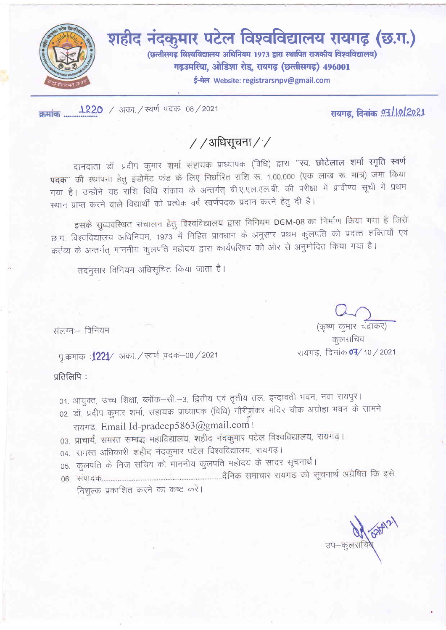

रायगढ़, दिनांक **97/10/2021** 

# //अधिसूचना//

दानदाता डॉ. प्रदीप कुमार शर्मा सहायक प्राध्यापक (विधि) द्वारा "स्व. छोटेलाल शर्मा स्मृति स्वर्ण पदक" की स्थापना हेतू इंडोमेंट फंड के लिए निर्धारित राशि रू. 1,00,000 (एक लाख रू. मात्र) जमा किया गया है। उन्होंने यह राशि विधि संकाय के अन्तर्गत् बी.ए.एल.एल.बी. की परीक्षा में प्रावीण्य सूची में प्रथम स्थान प्राप्त करने वाले विद्यार्थी को प्रत्येक वर्ष स्वर्णपदक प्रदान करने हेतु दी है।

इसके सुव्यवस्थित संचालन हेतु विश्वविद्यालय द्वारा विनियम DGM-08 का निर्माण किया गया है जिसे छ.ग. विश्वविद्यालय अधिनियम, 1973 में निहित प्रावधान के अनुसार प्रथम कुलपति को प्रदत्त शक्तियाँ एवं कर्तव्य के अन्तर्गत् माननीय कुलपति महोदय द्वारा कार्यपरिषद की ओर से अनुमोदित किया गया है।

तदनुसार विनियम अधिसूचित किया जाता है।

संलग्नः - विनियम

पृ.कमांक**:1221⁄** अका. / स्वर्ण पदक–08 / 2021

प्रतिलिपि:

- 01. आयुक्त, उच्च शिक्षा, ब्लॉक–सी.–3, द्वितीय एवं तृतीय तल, इन्द्रावती भवन, नवा रायपुर। 02. डॉ. प्रदीप कुमार शर्मा, सहायक प्राध्यापक (विधि) गौरीशंकर मंदिर चौक अग्रोहा भवन के सामने रायगढ़, Email Id-pradeep5863@gmail.com
- 03. प्राचार्य, समस्त सम्बद्ध महाविद्यालय, शहीद नंदकुमार पटेल विश्वविद्यालय, रायगढ़।
- 04. समस्त अधिकारी शहीद नंदकुमार पटेल विश्वविद्यालय, रायगढ़।
- 05. कुलपति के निज सचिव को माननीय कुलपति महोदय के सादर सूचनार्थ।
- 

निशुल्क प्रकाशित करने का कष्ट करें।

(कृष्ण कुमार चंद्राकर)

कूलसचिव रायगढ, दिनांक **07/** 10 / 2021